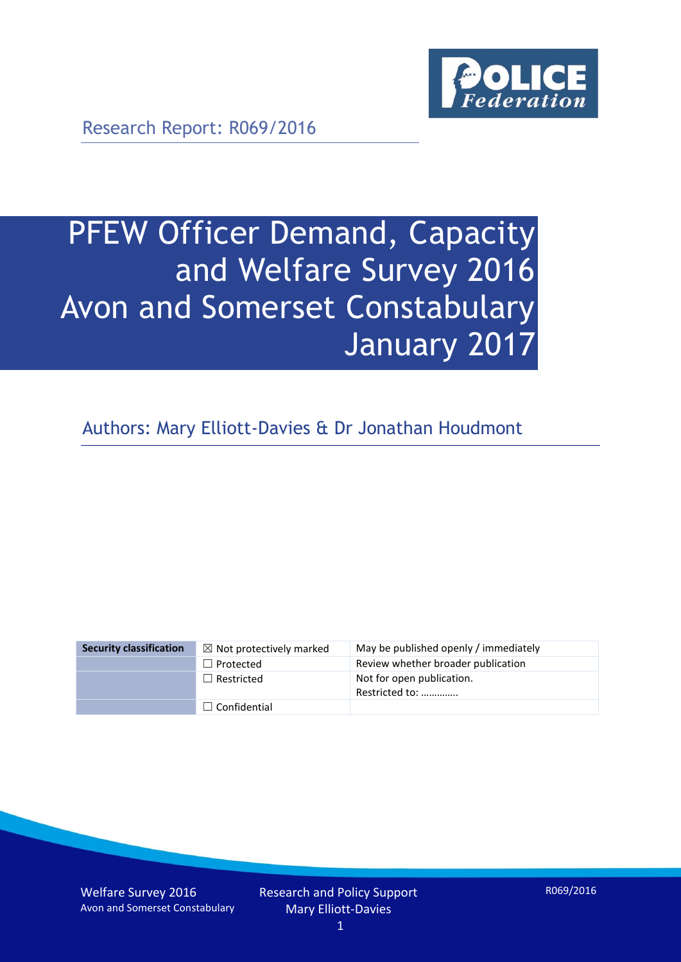

Research Report: R069/2016

# PFEW Officer Demand, Capacity and Welfare Survey 2016 Avon and Somerset Constabulary January 2017

Authors: Mary Elliott-Davies & Dr Jonathan Houdmont

| <b>Security classification</b> | $\boxtimes$ Not protectively marked | May be published openly / immediately       |
|--------------------------------|-------------------------------------|---------------------------------------------|
|                                | $\Box$ Protected                    | Review whether broader publication          |
|                                | $\Box$ Restricted                   | Not for open publication.<br>Restricted to: |
|                                | $\Box$ Confidential                 |                                             |

Welfare Survey 2016 Avon and Somerset Constabulary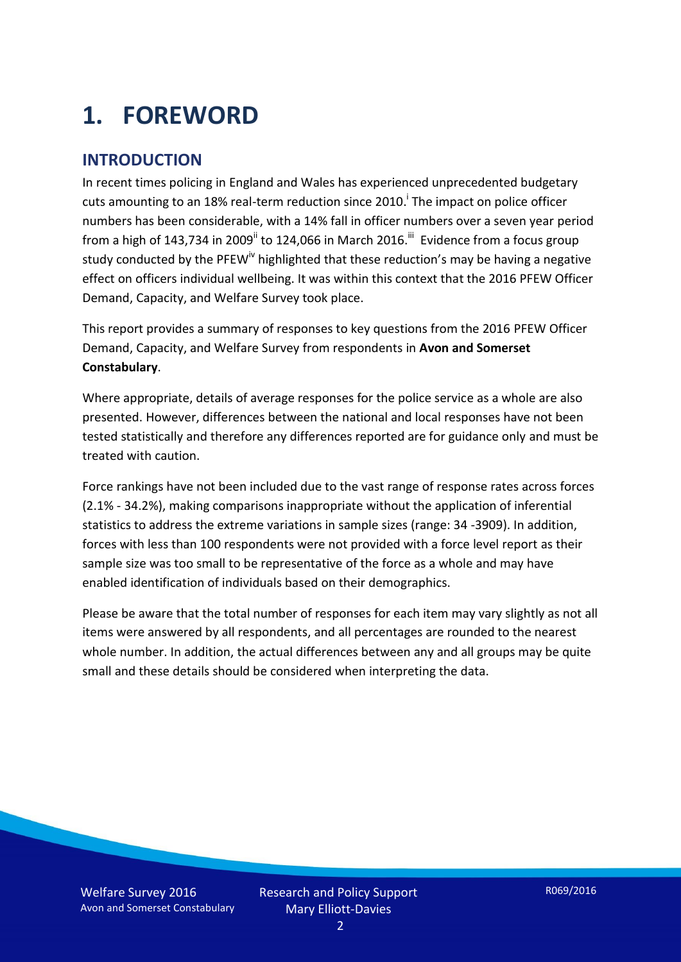# **1. FOREWORD**

#### **INTRODUCTION**

In recent times policing in England and Wales has experienced unprecedented budgetary cuts amounting to an 18% real-term reduction since 2010.<sup>i</sup> The impact on police officer numbers has been considerable, with a 14% fall in officer numbers over a seven year period from a high of 143,734 in 2009<sup>ii</sup> to 124,066 in March 2016.<sup>iii</sup> Evidence from a focus group study conducted by the PFEW<sup>iv</sup> highlighted that these reduction's may be having a negative effect on officers individual wellbeing. It was within this context that the 2016 PFEW Officer Demand, Capacity, and Welfare Survey took place.

This report provides a summary of responses to key questions from the 2016 PFEW Officer Demand, Capacity, and Welfare Survey from respondents in **Avon and Somerset Constabulary**.

Where appropriate, details of average responses for the police service as a whole are also presented. However, differences between the national and local responses have not been tested statistically and therefore any differences reported are for guidance only and must be treated with caution.

Force rankings have not been included due to the vast range of response rates across forces (2.1% - 34.2%), making comparisons inappropriate without the application of inferential statistics to address the extreme variations in sample sizes (range: 34 -3909). In addition, forces with less than 100 respondents were not provided with a force level report as their sample size was too small to be representative of the force as a whole and may have enabled identification of individuals based on their demographics.

Please be aware that the total number of responses for each item may vary slightly as not all items were answered by all respondents, and all percentages are rounded to the nearest whole number. In addition, the actual differences between any and all groups may be quite small and these details should be considered when interpreting the data.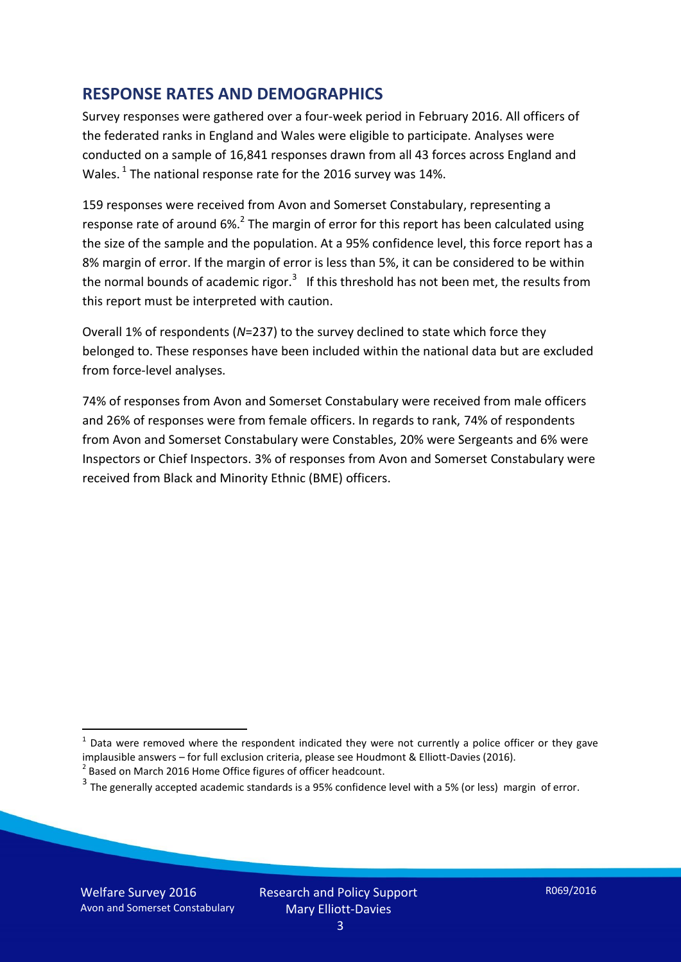#### **RESPONSE RATES AND DEMOGRAPHICS**

Survey responses were gathered over a four-week period in February 2016. All officers of the federated ranks in England and Wales were eligible to participate. Analyses were conducted on a sample of 16,841 responses drawn from all 43 forces across England and Wales.<sup>1</sup> The national response rate for the 2016 survey was 14%.

159 responses were received from Avon and Somerset Constabulary, representing a response rate of around 6%.<sup>2</sup> The margin of error for this report has been calculated using the size of the sample and the population. At a 95% confidence level, this force report has a 8% margin of error. If the margin of error is less than 5%, it can be considered to be within the normal bounds of academic rigor.<sup>3</sup> If this threshold has not been met, the results from this report must be interpreted with caution.

Overall 1% of respondents (*N*=237) to the survey declined to state which force they belonged to. These responses have been included within the national data but are excluded from force-level analyses.

74% of responses from Avon and Somerset Constabulary were received from male officers and 26% of responses were from female officers. In regards to rank, 74% of respondents from Avon and Somerset Constabulary were Constables, 20% were Sergeants and 6% were Inspectors or Chief Inspectors. 3% of responses from Avon and Somerset Constabulary were received from Black and Minority Ethnic (BME) officers.

<u>.</u>

 $1$  Data were removed where the respondent indicated they were not currently a police officer or they gave implausible answers – for full exclusion criteria, please see Houdmont & Elliott-Davies (2016).

 $2$  Based on March 2016 Home Office figures of officer headcount.

 $^3$  The generally accepted academic standards is a 95% confidence level with a 5% (or less) margin of error.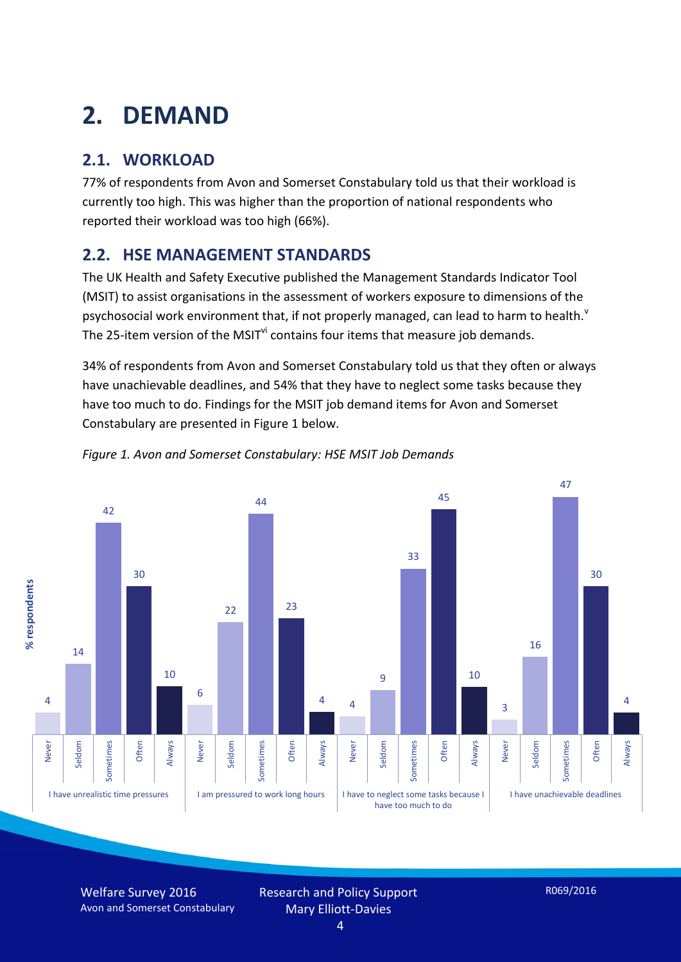# **2. DEMAND**

### **2.1. WORKLOAD**

77% of respondents from Avon and Somerset Constabulary told us that their workload is currently too high. This was higher than the proportion of national respondents who reported their workload was too high (66%).

#### **2.2. HSE MANAGEMENT STANDARDS**

The UK Health and Safety Executive published the Management Standards Indicator Tool (MSIT) to assist organisations in the assessment of workers exposure to dimensions of the psychosocial work environment that, if not properly managed, can lead to harm to health.<sup>v</sup> The 25-item version of the MSIT<sup>VI</sup> contains four items that measure job demands.

34% of respondents from Avon and Somerset Constabulary told us that they often or always have unachievable deadlines, and 54% that they have to neglect some tasks because they have too much to do. Findings for the MSIT job demand items for Avon and Somerset Constabulary are presented in Figure 1 below.





Welfare Survey 2016 Avon and Somerset Constabulary Research and Policy Support Mary Elliott-Davies

R069/2016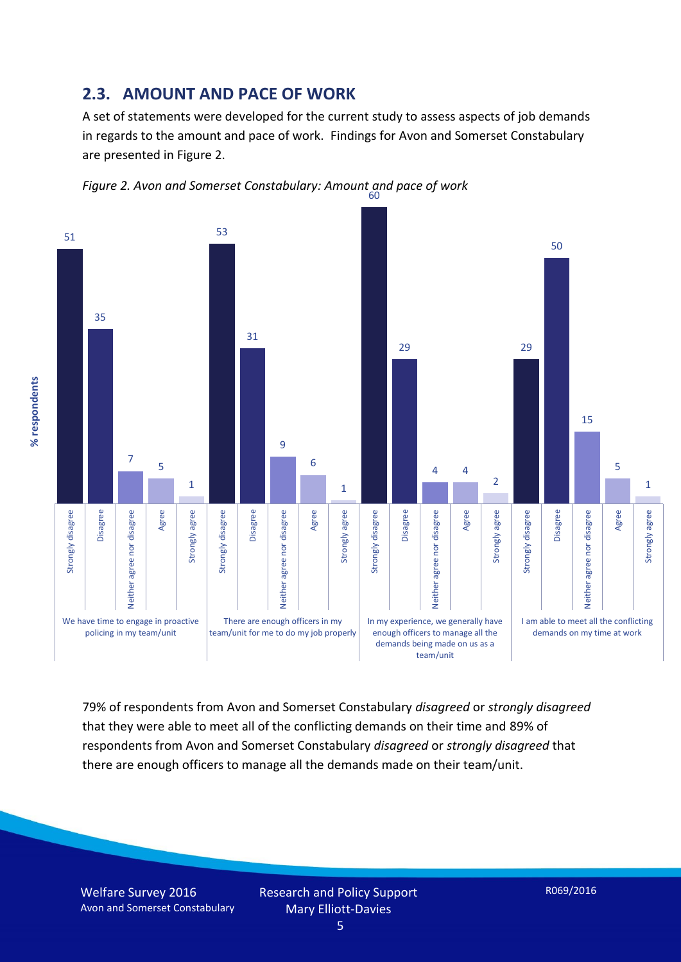#### **2.3. AMOUNT AND PACE OF WORK**

A set of statements were developed for the current study to assess aspects of job demands in regards to the amount and pace of work. Findings for Avon and Somerset Constabulary are presented in Figure 2.



*Figure 2. Avon and Somerset Constabulary: Amount and pace of work* 60

79% of respondents from Avon and Somerset Constabulary *disagreed* or *strongly disagreed* that they were able to meet all of the conflicting demands on their time and 89% of respondents from Avon and Somerset Constabulary *disagreed* or *strongly disagreed* that there are enough officers to manage all the demands made on their team/unit.

team/unit

% respondents **% respondents**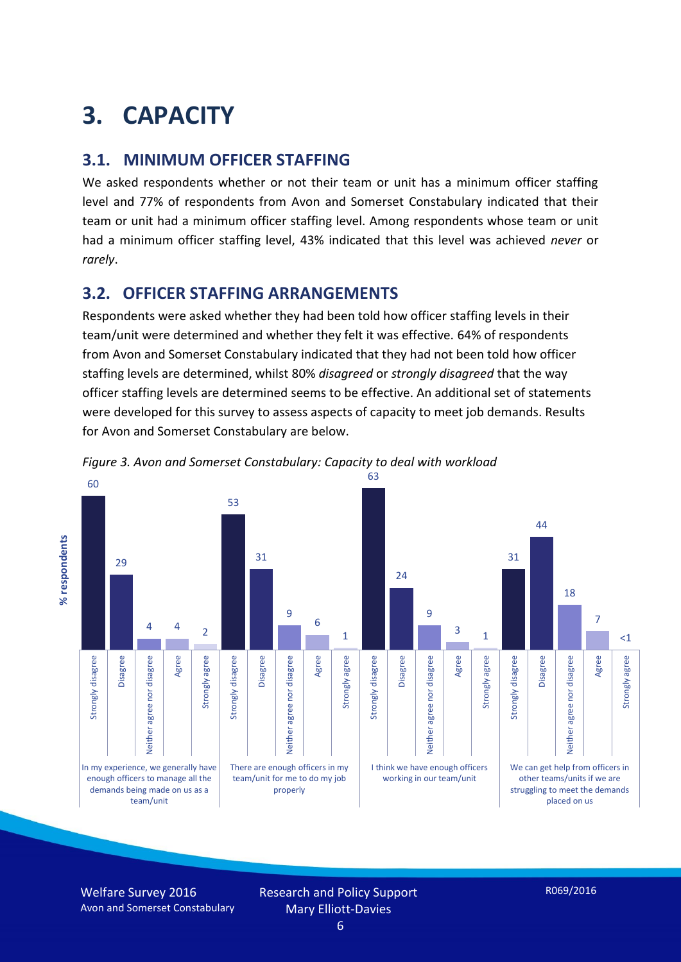# **3. CAPACITY**

#### **3.1. MINIMUM OFFICER STAFFING**

We asked respondents whether or not their team or unit has a minimum officer staffing level and 77% of respondents from Avon and Somerset Constabulary indicated that their team or unit had a minimum officer staffing level. Among respondents whose team or unit had a minimum officer staffing level, 43% indicated that this level was achieved *never* or *rarely*.

#### **3.2. OFFICER STAFFING ARRANGEMENTS**

Respondents were asked whether they had been told how officer staffing levels in their team/unit were determined and whether they felt it was effective. 64% of respondents from Avon and Somerset Constabulary indicated that they had not been told how officer staffing levels are determined, whilst 80% *disagreed* or *strongly disagreed* that the way officer staffing levels are determined seems to be effective. An additional set of statements were developed for this survey to assess aspects of capacity to meet job demands. Results for Avon and Somerset Constabulary are below.



*Figure 3. Avon and Somerset Constabulary: Capacity to deal with workload*

Welfare Survey 2016 Avon and Somerset Constabulary

Research and Policy Support Mary Elliott-Davies 6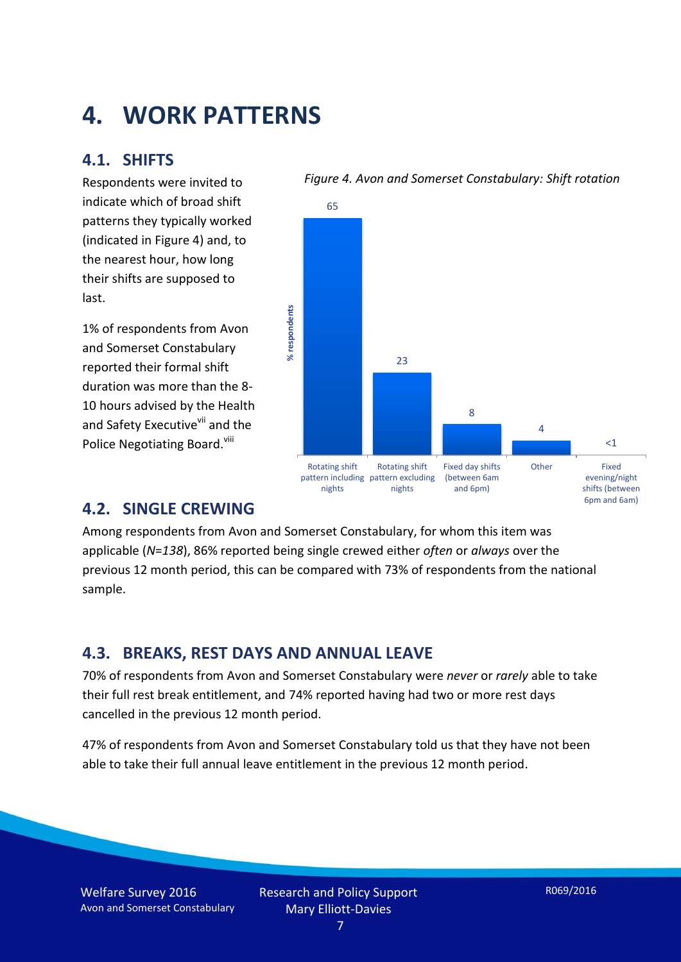## **4. WORK PATTERNS**

#### **4.1. SHIFTS**

Respondents were invited to indicate which of broad shift patterns they typically worked (indicated in Figure 4) and, to the nearest hour, how long their shifts are supposed to last.

1% of respondents from Avon and Somerset Constabulary reported their formal shift duration was more than the 8- 10 hours advised by the Health and Safety Executive<sup>vii</sup> and the Police Negotiating Board.<sup>viii</sup>



#### *Figure 4. Avon and Somerset Constabulary: Shift rotation*

#### **4.2. SINGLE CREWING**

Among respondents from Avon and Somerset Constabulary, for whom this item was applicable (*N*=*138*), 86% reported being single crewed either *often* or *always* over the previous 12 month period, this can be compared with 73% of respondents from the national sample.

#### **4.3. BREAKS, REST DAYS AND ANNUAL LEAVE**

70% of respondents from Avon and Somerset Constabulary were *never* or *rarely* able to take their full rest break entitlement, and 74% reported having had two or more rest days cancelled in the previous 12 month period.

47% of respondents from Avon and Somerset Constabulary told us that they have not been able to take their full annual leave entitlement in the previous 12 month period.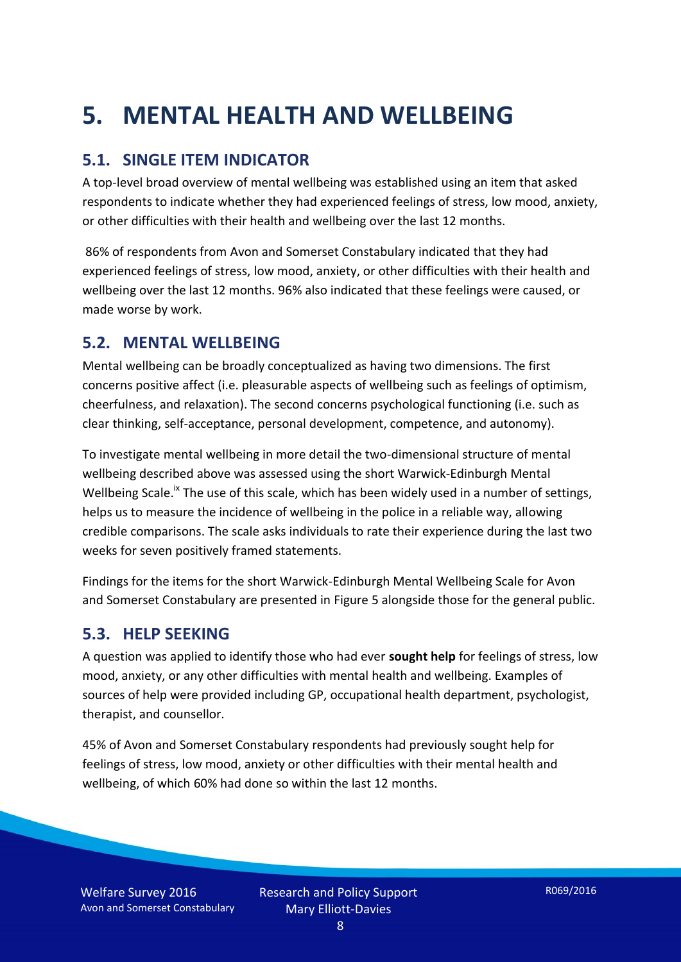# **5. MENTAL HEALTH AND WELLBEING**

#### **5.1. SINGLE ITEM INDICATOR**

A top-level broad overview of mental wellbeing was established using an item that asked respondents to indicate whether they had experienced feelings of stress, low mood, anxiety, or other difficulties with their health and wellbeing over the last 12 months.

86% of respondents from Avon and Somerset Constabulary indicated that they had experienced feelings of stress, low mood, anxiety, or other difficulties with their health and wellbeing over the last 12 months. 96% also indicated that these feelings were caused, or made worse by work.

#### **5.2. MENTAL WELLBEING**

Mental wellbeing can be broadly conceptualized as having two dimensions. The first concerns positive affect (i.e. pleasurable aspects of wellbeing such as feelings of optimism, cheerfulness, and relaxation). The second concerns psychological functioning (i.e. such as clear thinking, self-acceptance, personal development, competence, and autonomy).

To investigate mental wellbeing in more detail the two-dimensional structure of mental wellbeing described above was assessed using the short Warwick-Edinburgh Mental Wellbeing Scale.<sup>ix</sup> The use of this scale, which has been widely used in a number of settings, helps us to measure the incidence of wellbeing in the police in a reliable way, allowing credible comparisons. The scale asks individuals to rate their experience during the last two weeks for seven positively framed statements.

Findings for the items for the short Warwick-Edinburgh Mental Wellbeing Scale for Avon and Somerset Constabulary are presented in Figure 5 alongside those for the general public.

#### **5.3. HELP SEEKING**

A question was applied to identify those who had ever **sought help** for feelings of stress, low mood, anxiety, or any other difficulties with mental health and wellbeing. Examples of sources of help were provided including GP, occupational health department, psychologist, therapist, and counsellor.

45% of Avon and Somerset Constabulary respondents had previously sought help for feelings of stress, low mood, anxiety or other difficulties with their mental health and wellbeing, of which 60% had done so within the last 12 months.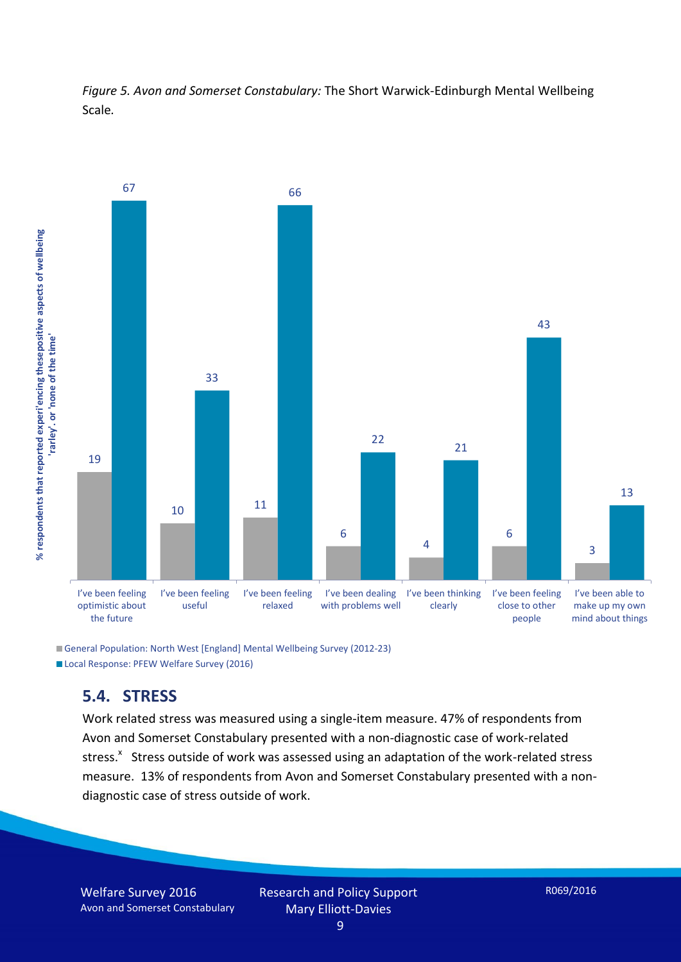*Figure 5. Avon and Somerset Constabulary:* The Short Warwick-Edinburgh Mental Wellbeing Scale*.*



General Population: North West [England] Mental Wellbeing Survey (2012-23) Local Response: PFEW Welfare Survey (2016)

#### **5.4. STRESS**

Work related stress was measured using a single-item measure. 47% of respondents from Avon and Somerset Constabulary presented with a non-diagnostic case of work-related stress.<sup>x</sup> Stress outside of work was assessed using an adaptation of the work-related stress measure. 13% of respondents from Avon and Somerset Constabulary presented with a nondiagnostic case of stress outside of work.

9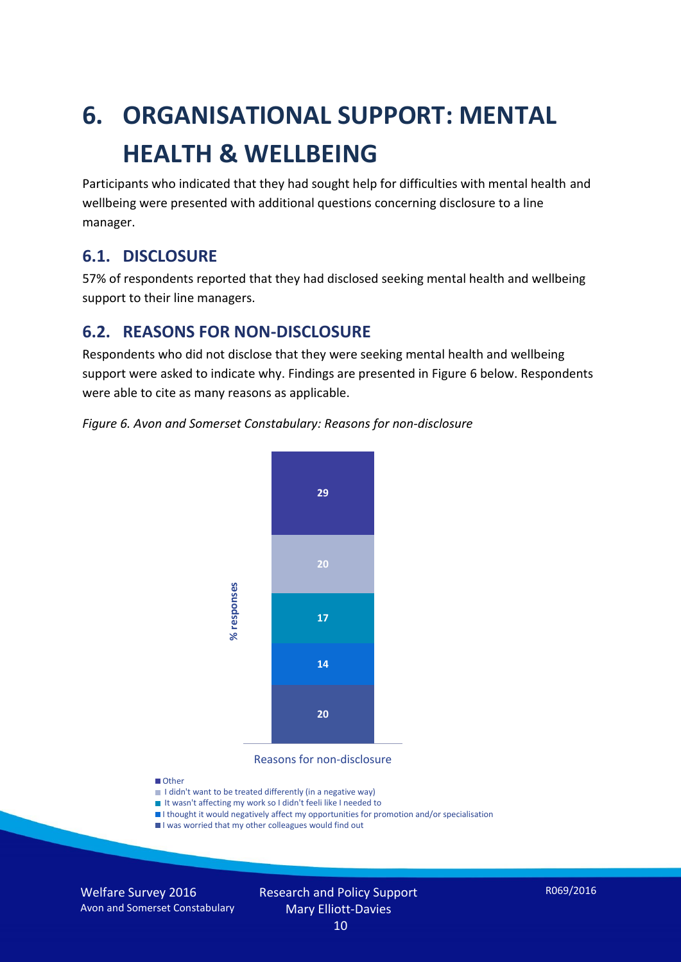# **6. ORGANISATIONAL SUPPORT: MENTAL HEALTH & WELLBEING**

Participants who indicated that they had sought help for difficulties with mental health and wellbeing were presented with additional questions concerning disclosure to a line manager.

#### **6.1. DISCLOSURE**

57% of respondents reported that they had disclosed seeking mental health and wellbeing support to their line managers.

#### **6.2. REASONS FOR NON-DISCLOSURE**

Respondents who did not disclose that they were seeking mental health and wellbeing support were asked to indicate why. Findings are presented in Figure 6 below. Respondents were able to cite as many reasons as applicable.





Reasons for non-disclosure

#### **D**Other

- I didn't want to be treated differently (in a negative way)
- I It wasn't affecting my work so I didn't feeli like I needed to
- I thought it would negatively affect my opportunities for promotion and/or specialisation
- I was worried that my other colleagues would find out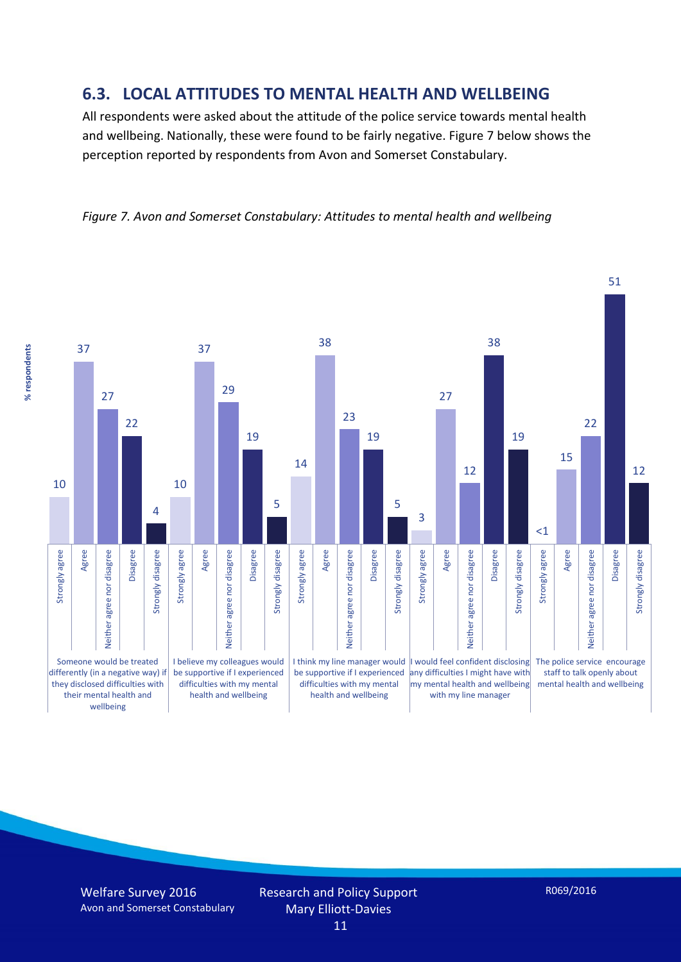#### **6.3. LOCAL ATTITUDES TO MENTAL HEALTH AND WELLBEING**

All respondents were asked about the attitude of the police service towards mental health and wellbeing. Nationally, these were found to be fairly negative. Figure 7 below shows the perception reported by respondents from Avon and Somerset Constabulary.

#### *Figure 7. Avon and Somerset Constabulary: Attitudes to mental health and wellbeing*



Welfare Survey 2016 Avon and Somerset Constabulary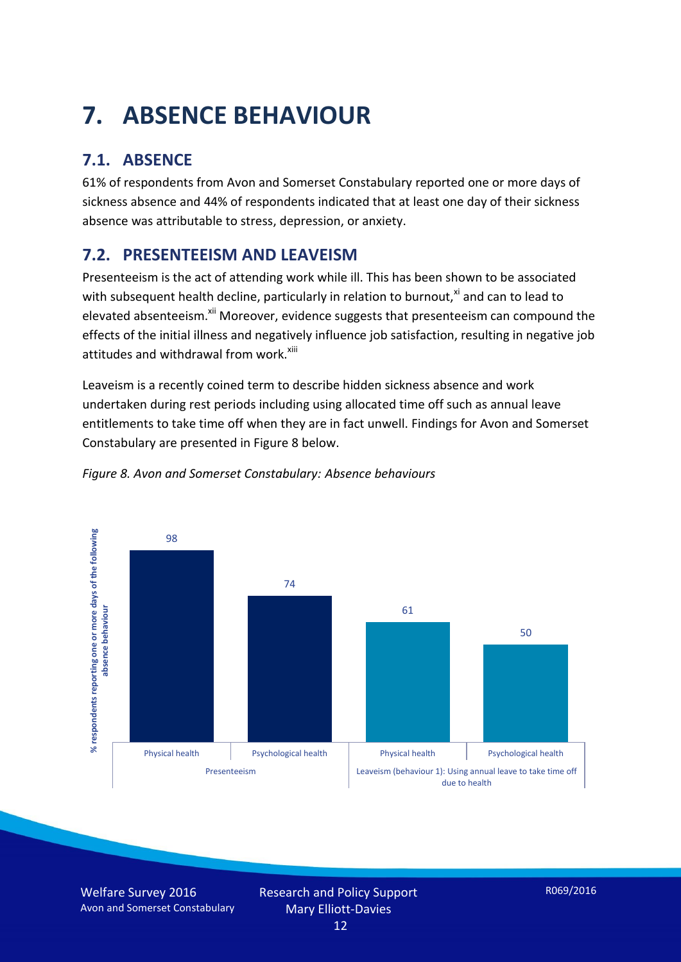# **7. ABSENCE BEHAVIOUR**

## **7.1. ABSENCE**

61% of respondents from Avon and Somerset Constabulary reported one or more days of sickness absence and 44% of respondents indicated that at least one day of their sickness absence was attributable to stress, depression, or anxiety.

### **7.2. PRESENTEEISM AND LEAVEISM**

Presenteeism is the act of attending work while ill. This has been shown to be associated with subsequent health decline, particularly in relation to burnout, $x_i$  and can to lead to elevated absenteeism.<sup>xii</sup> Moreover, evidence suggests that presenteeism can compound the effects of the initial illness and negatively influence job satisfaction, resulting in negative job attitudes and withdrawal from work.<sup>xiii</sup>

Leaveism is a recently coined term to describe hidden sickness absence and work undertaken during rest periods including using allocated time off such as annual leave entitlements to take time off when they are in fact unwell. Findings for Avon and Somerset Constabulary are presented in Figure 8 below.



*Figure 8. Avon and Somerset Constabulary: Absence behaviours*

Welfare Survey 2016 Avon and Somerset Constabulary Research and Policy Support Mary Elliott-Davies 12

R069/2016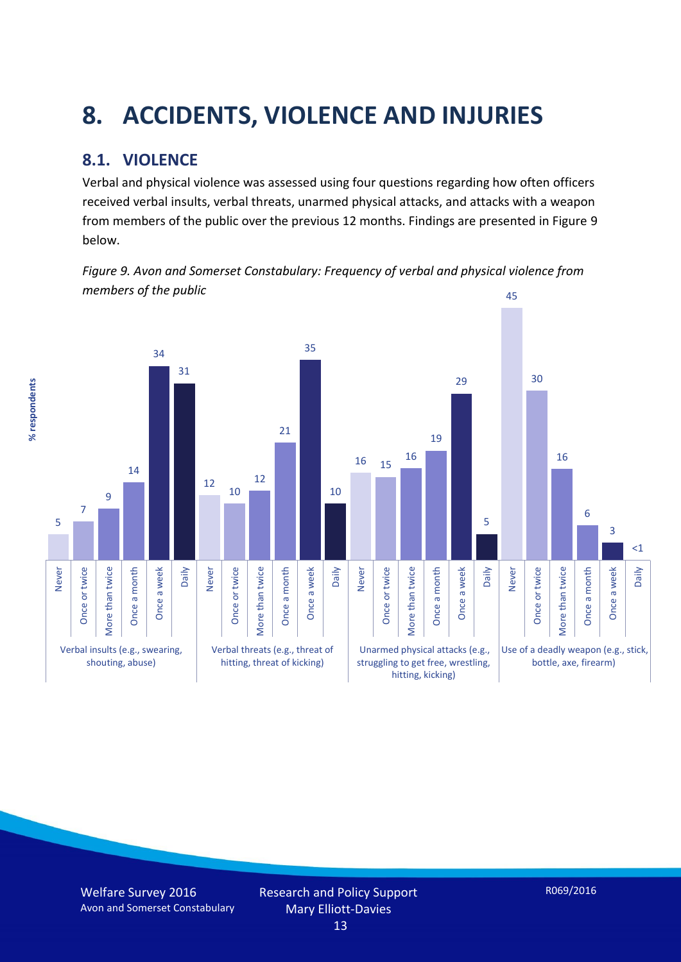# **8. ACCIDENTS, VIOLENCE AND INJURIES**

### **8.1. VIOLENCE**

% respondents **% respondents**

Verbal and physical violence was assessed using four questions regarding how often officers received verbal insults, verbal threats, unarmed physical attacks, and attacks with a weapon from members of the public over the previous 12 months. Findings are presented in Figure 9 below.

*Figure 9. Avon and Somerset Constabulary: Frequency of verbal and physical violence from members of the public* 45

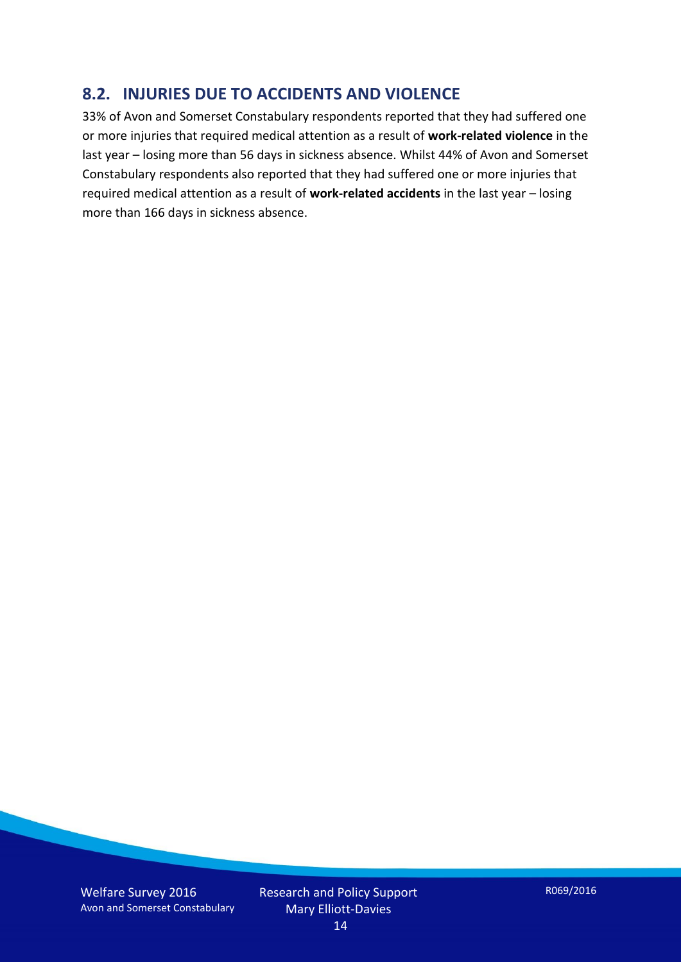#### **8.2. INJURIES DUE TO ACCIDENTS AND VIOLENCE**

33% of Avon and Somerset Constabulary respondents reported that they had suffered one or more injuries that required medical attention as a result of **work-related violence** in the last year – losing more than 56 days in sickness absence. Whilst 44% of Avon and Somerset Constabulary respondents also reported that they had suffered one or more injuries that required medical attention as a result of **work-related accidents** in the last year – losing more than 166 days in sickness absence.

Welfare Survey 2016 Avon and Somerset Constabulary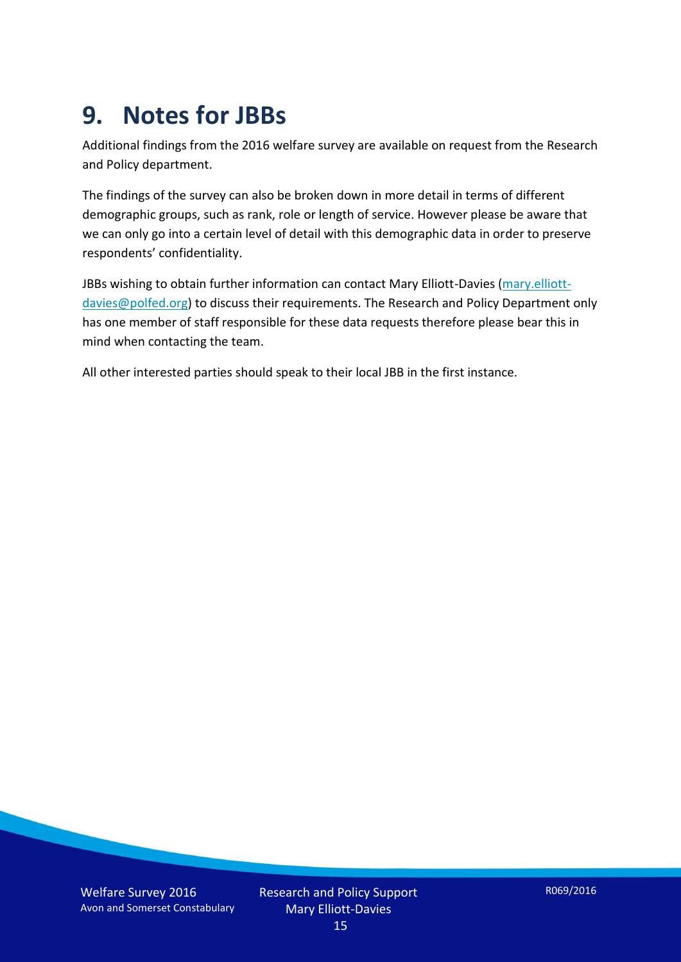## **9. Notes for JBBs**

Additional findings from the 2016 welfare survey are available on request from the Research and Policy department.

The findings of the survey can also be broken down in more detail in terms of different demographic groups, such as rank, role or length of service. However please be aware that we can only go into a certain level of detail with this demographic data in order to preserve respondents' confidentiality.

JBBs wishing to obtain further information can contact Mary Elliott-Davies [\(mary.elliott](mailto:mary.elliott-davies@polfed.org)[davies@polfed.org\)](mailto:mary.elliott-davies@polfed.org) to discuss their requirements. The Research and Policy Department only has one member of staff responsible for these data requests therefore please bear this in mind when contacting the team.

All other interested parties should speak to their local JBB in the first instance.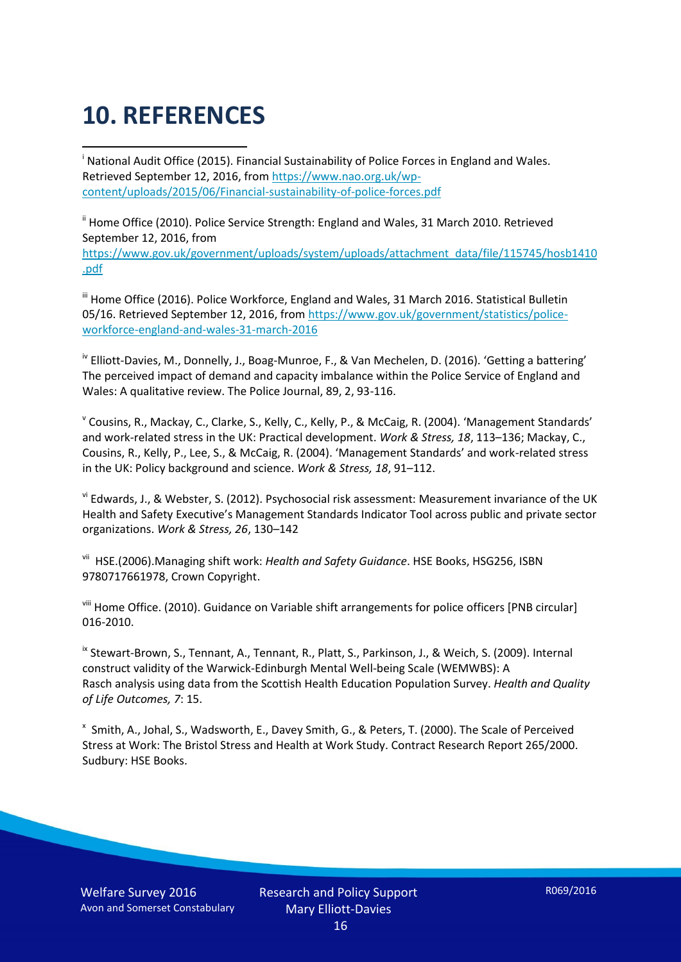# **10. REFERENCES**

<u>.</u> <sup>i</sup> National Audit Office (2015). Financial Sustainability of Police Forces in England and Wales. Retrieved September 12, 2016, fro[m https://www.nao.org.uk/wp](https://www.nao.org.uk/wp-content/uploads/2015/06/Financial-sustainability-of-police-forces.pdf)[content/uploads/2015/06/Financial-sustainability-of-police-forces.pdf](https://www.nao.org.uk/wp-content/uploads/2015/06/Financial-sustainability-of-police-forces.pdf)

<sup>ii</sup> Home Office (2010). Police Service Strength: England and Wales, 31 March 2010. Retrieved September 12, 2016, from [https://www.gov.uk/government/uploads/system/uploads/attachment\\_data/file/115745/hosb1410](https://www.gov.uk/government/uploads/system/uploads/attachment_data/file/115745/hosb1410.pdf) [.pdf](https://www.gov.uk/government/uploads/system/uploads/attachment_data/file/115745/hosb1410.pdf)

<sup>iii</sup> Home Office (2016). Police Workforce, England and Wales, 31 March 2016. Statistical Bulletin 05/16. Retrieved September 12, 2016, from [https://www.gov.uk/government/statistics/police](https://www.gov.uk/government/statistics/police-workforce-england-and-wales-31-march-2016)[workforce-england-and-wales-31-march-2016](https://www.gov.uk/government/statistics/police-workforce-england-and-wales-31-march-2016)

<sup>iv</sup> Elliott-Davies, M., Donnelly, J., Boag-Munroe, F., & Van Mechelen, D. (2016). 'Getting a battering' The perceived impact of demand and capacity imbalance within the Police Service of England and Wales: A qualitative review. The Police Journal, 89, 2, 93-116.

v Cousins, R., Mackay, C., Clarke, S., Kelly, C., Kelly, P., & McCaig, R. (2004). 'Management Standards' and work-related stress in the UK: Practical development. *Work & Stress, 18*, 113–136; Mackay, C., Cousins, R., Kelly, P., Lee, S., & McCaig, R. (2004). 'Management Standards' and work-related stress in the UK: Policy background and science. *Work & Stress, 18*, 91–112.

vi Edwards, J., & Webster, S. (2012). Psychosocial risk assessment: Measurement invariance of the UK Health and Safety Executive's Management Standards Indicator Tool across public and private sector organizations. *Work & Stress, 26*, 130–142

vii HSE.(2006).Managing shift work: *Health and Safety Guidance*. HSE Books, HSG256, ISBN 9780717661978, Crown Copyright.

viii Home Office. (2010). Guidance on Variable shift arrangements for police officers [PNB circular] 016-2010.

<sup>ix</sup> Stewart-Brown, S., Tennant, A., Tennant, R., Platt, S., Parkinson, J., & Weich, S. (2009). Internal construct validity of the Warwick-Edinburgh Mental Well-being Scale (WEMWBS): A Rasch analysis using data from the Scottish Health Education Population Survey. *Health and Quality of Life Outcomes, 7*: 15.

x Smith, A., Johal, S., Wadsworth, E., Davey Smith, G., & Peters, T. (2000). The Scale of Perceived Stress at Work: The Bristol Stress and Health at Work Study. Contract Research Report 265/2000. Sudbury: HSE Books.